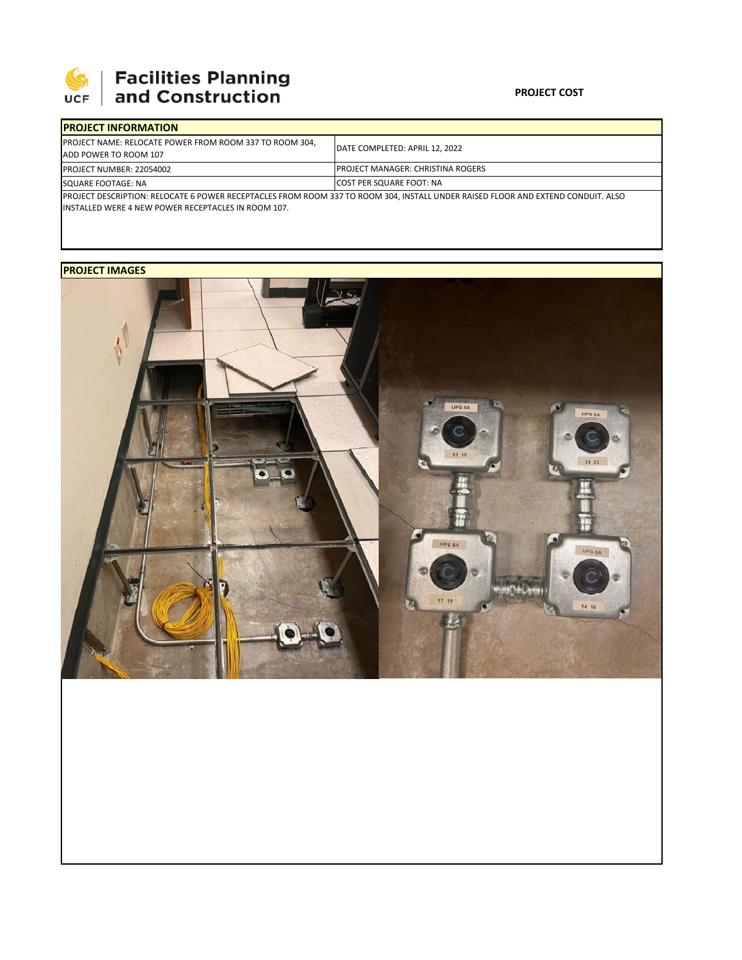

# 

### **PROJECT COST**

| <b>IPROJECT INFORMATION</b>                                                                                                                                                                    |                                           |  |  |  |
|------------------------------------------------------------------------------------------------------------------------------------------------------------------------------------------------|-------------------------------------------|--|--|--|
| <b>IPROJECT NAME: RELOCATE POWER FROM ROOM 337 TO ROOM 304.</b><br>ADD POWER TO ROOM 107                                                                                                       | DATE COMPLETED: APRIL 12, 2022            |  |  |  |
| <b>PROJECT NUMBER: 22054002</b>                                                                                                                                                                | <b>IPROJECT MANAGER: CHRISTINA ROGERS</b> |  |  |  |
| SQUARE FOOTAGE: NA                                                                                                                                                                             | <b>COST PER SQUARE FOOT: NA</b>           |  |  |  |
| PROJECT DESCRIPTION: RELOCATE 6 POWER RECEPTACLES FROM ROOM 337 TO ROOM 304, INSTALL UNDER RAISED FLOOR AND EXTEND CONDUIT. ALSO<br><b>INSTALLED WERE 4 NEW POWER RECEPTACLES IN ROOM 107.</b> |                                           |  |  |  |

## **PROJECT IMAGES**